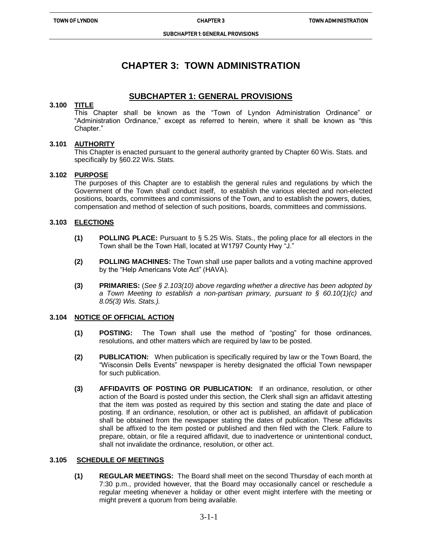ֺ֝

# **CHAPTER 3: TOWN ADMINISTRATION**

## **SUBCHAPTER 1: GENERAL PROVISIONS**

## **3.100 TITLE**

This Chapter shall be known as the "Town of Lyndon Administration Ordinance" or "Administration Ordinance," except as referred to herein, where it shall be known as "this Chapter."

## **3.101 AUTHORITY**

This Chapter is enacted pursuant to the general authority granted by Chapter 60 Wis. Stats. and specifically by §60.22 Wis. Stats.

## **3.102 PURPOSE**

 The purposes of this Chapter are to establish the general rules and regulations by which the Government of the Town shall conduct itself, to establish the various elected and non-elected positions, boards, committees and commissions of the Town, and to establish the powers, duties, compensation and method of selection of such positions, boards, committees and commissions.

## **3.103 ELECTIONS**

- **(1) POLLING PLACE:** Pursuant to § 5.25 Wis. Stats., the poling place for all electors in the Town shall be the Town Hall, located at W1797 County Hwy "J."
- **(2) POLLING MACHINES:** The Town shall use paper ballots and a voting machine approved by the "Help Americans Vote Act" (HAVA).
- **(3) PRIMARIES:** (*See § 2.103(10) above regarding whether a directive has been adopted by a Town Meeting to establish a non-partisan primary, pursuant to § 60.10(1)(c) and 8.05(3) Wis. Stats.).*

### **3.104 NOTICE OF OFFICIAL ACTION**

- **(1) POSTING:** The Town shall use the method of "posting" for those ordinances, resolutions, and other matters which are required by law to be posted.
- **(2) PUBLICATION:** When publication is specifically required by law or the Town Board, the "Wisconsin Dells Events" newspaper is hereby designated the official Town newspaper for such publication.
- **(3) AFFIDAVITS OF POSTING OR PUBLICATION:** If an ordinance, resolution, or other action of the Board is posted under this section, the Clerk shall sign an affidavit attesting that the item was posted as required by this section and stating the date and place of posting. If an ordinance, resolution, or other act is published, an affidavit of publication shall be obtained from the newspaper stating the dates of publication. These affidavits shall be affixed to the item posted or published and then filed with the Clerk. Failure to prepare, obtain, or file a required affidavit, due to inadvertence or unintentional conduct, shall not invalidate the ordinance, resolution, or other act.

### **3.105 SCHEDULE OF MEETINGS**

**(1) REGULAR MEETINGS:** The Board shall meet on the second Thursday of each month at 7:30 p.m., provided however, that the Board may occasionally cancel or reschedule a regular meeting whenever a holiday or other event might interfere with the meeting or might prevent a quorum from being available.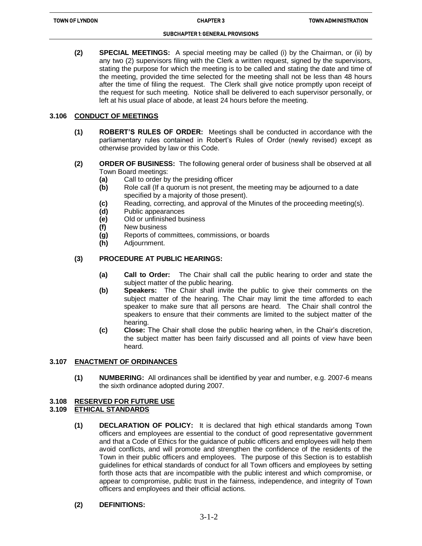**(2) SPECIAL MEETINGS:** A special meeting may be called (i) by the Chairman, or (ii) by any two (2) supervisors filing with the Clerk a written request, signed by the supervisors, stating the purpose for which the meeting is to be called and stating the date and time of the meeting, provided the time selected for the meeting shall not be less than 48 hours after the time of filing the request. The Clerk shall give notice promptly upon receipt of the request for such meeting. Notice shall be delivered to each supervisor personally, or left at his usual place of abode, at least 24 hours before the meeting.

## **3.106 CONDUCT OF MEETINGS**

- **(1) ROBERT'S RULES OF ORDER:** Meetings shall be conducted in accordance with the parliamentary rules contained in Robert's Rules of Order (newly revised) except as otherwise provided by law or this Code.
- **(2) ORDER OF BUSINESS:** The following general order of business shall be observed at all Town Board meetings:
	- **(a)** Call to order by the presiding officer
	- **(b)** Role call (If a quorum is not present, the meeting may be adjourned to a date specified by a majority of those present).
	- **(c)** Reading, correcting, and approval of the Minutes of the proceeding meeting(s).
	- **(d)** Public appearances
	- **(e)** Old or unfinished business

ֺ֝

- **(f)** New business
- **(g)** Reports of committees, commissions, or boards
- **(h)** Adjournment.

## **(3) PROCEDURE AT PUBLIC HEARINGS:**

- **(a) Call to Order:** The Chair shall call the public hearing to order and state the subject matter of the public hearing.
- **(b) Speakers:** The Chair shall invite the public to give their comments on the subject matter of the hearing. The Chair may limit the time afforded to each speaker to make sure that all persons are heard. The Chair shall control the speakers to ensure that their comments are limited to the subject matter of the hearing.
- **(c) Close:** The Chair shall close the public hearing when, in the Chair's discretion, the subject matter has been fairly discussed and all points of view have been heard.

## **3.107 ENACTMENT OF ORDINANCES**

**(1) NUMBERING:** All ordinances shall be identified by year and number, e.g. 2007-6 means the sixth ordinance adopted during 2007.

### **3.108 RESERVED FOR FUTURE USE**

## **3.109 ETHICAL STANDARDS**

**(1) DECLARATION OF POLICY:** It is declared that high ethical standards among Town officers and employees are essential to the conduct of good representative government and that a Code of Ethics for the guidance of public officers and employees will help them avoid conflicts, and will promote and strengthen the confidence of the residents of the Town in their public officers and employees. The purpose of this Section is to establish guidelines for ethical standards of conduct for all Town officers and employees by setting forth those acts that are incompatible with the public interest and which compromise, or appear to compromise, public trust in the fairness, independence, and integrity of Town officers and employees and their official actions.

### **(2) DEFINITIONS:**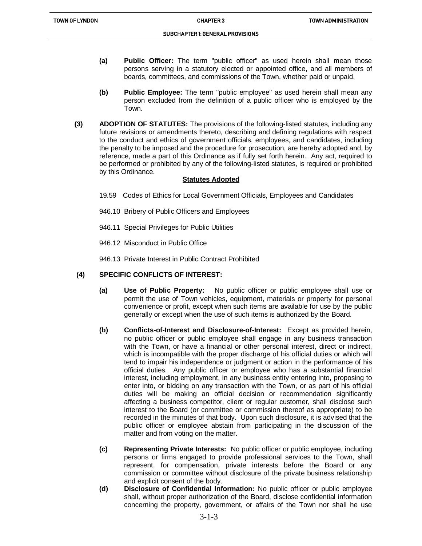- **(a) Public Officer:** The term "public officer" as used herein shall mean those persons serving in a statutory elected or appointed office, and all members of boards, committees, and commissions of the Town, whether paid or unpaid.
- **(b) Public Employee:** The term "public employee" as used herein shall mean any person excluded from the definition of a public officer who is employed by the Town.
- **(3) ADOPTION OF STATUTES:** The provisions of the following-listed statutes, including any future revisions or amendments thereto, describing and defining regulations with respect to the conduct and ethics of government officials, employees, and candidates, including the penalty to be imposed and the procedure for prosecution, are hereby adopted and, by reference, made a part of this Ordinance as if fully set forth herein. Any act, required to be performed or prohibited by any of the following-listed statutes, is required or prohibited by this Ordinance.

### **Statutes Adopted**

- 19.59 Codes of Ethics for Local Government Officials, Employees and Candidates
- 946.10 Bribery of Public Officers and Employees
- 946.11 Special Privileges for Public Utilities
- 946.12 Misconduct in Public Office

ֺ֝

946.13 Private Interest in Public Contract Prohibited

## **(4) SPECIFIC CONFLICTS OF INTEREST:**

- **(a) Use of Public Property:** No public officer or public employee shall use or permit the use of Town vehicles, equipment, materials or property for personal convenience or profit, except when such items are available for use by the public generally or except when the use of such items is authorized by the Board.
- **(b) Conflicts-of-Interest and Disclosure-of-Interest:** Except as provided herein, no public officer or public employee shall engage in any business transaction with the Town, or have a financial or other personal interest, direct or indirect, which is incompatible with the proper discharge of his official duties or which will tend to impair his independence or judgment or action in the performance of his official duties. Any public officer or employee who has a substantial financial interest, including employment, in any business entity entering into, proposing to enter into, or bidding on any transaction with the Town, or as part of his official duties will be making an official decision or recommendation significantly affecting a business competitor, client or regular customer, shall disclose such interest to the Board (or committee or commission thereof as appropriate) to be recorded in the minutes of that body. Upon such disclosure, it is advised that the public officer or employee abstain from participating in the discussion of the matter and from voting on the matter.
- **(c) Representing Private Interests:** No public officer or public employee, including persons or firms engaged to provide professional services to the Town, shall represent, for compensation, private interests before the Board or any commission or committee without disclosure of the private business relationship and explicit consent of the body.
- **(d) Disclosure of Confidential Information:** No public officer or public employee shall, without proper authorization of the Board, disclose confidential information concerning the property, government, or affairs of the Town nor shall he use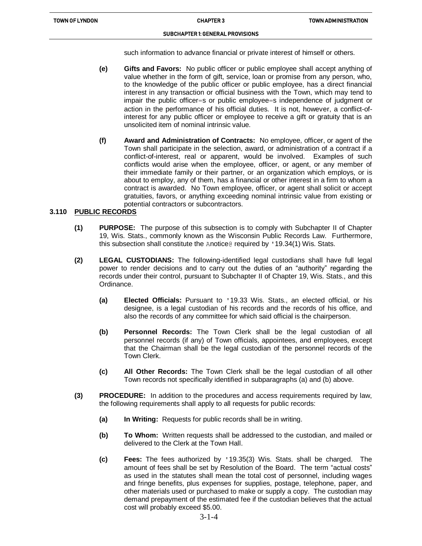ֺ֝

#### SUBCHAPTER 1: GENERAL PROVISIONS

such information to advance financial or private interest of himself or others.

- **(e) Gifts and Favors:** No public officer or public employee shall accept anything of value whether in the form of gift, service, loan or promise from any person, who, to the knowledge of the public officer or public employee, has a direct financial interest in any transaction or official business with the Town, which may tend to impair the public officer=s or public employee=s independence of judgment or action in the performance of his official duties. It is not, however, a conflict-ofinterest for any public officer or employee to receive a gift or gratuity that is an unsolicited item of nominal intrinsic value.
- **(f) Award and Administration of Contracts:** No employee, officer, or agent of the Town shall participate in the selection, award, or administration of a contract if a conflict-of-interest, real or apparent, would be involved. Examples of such conflicts would arise when the employee, officer, or agent, or any member of their immediate family or their partner, or an organization which employs, or is about to employ, any of them, has a financial or other interest in a firm to whom a contract is awarded. No Town employee, officer, or agent shall solicit or accept gratuities, favors, or anything exceeding nominal intrinsic value from existing or potential contractors or subcontractors.

## **3.110 PUBLIC RECORDS**

- **(1) PURPOSE:** The purpose of this subsection is to comply with Subchapter II of Chapter 19, Wis. Stats., commonly known as the Wisconsin Public Records Law. Furthermore, this subsection shall constitute the Anotice@ required by '19.34(1) Wis. Stats.
- **(2) LEGAL CUSTODIANS:** The following-identified legal custodians shall have full legal power to render decisions and to carry out the duties of an "authority" regarding the records under their control, pursuant to Subchapter II of Chapter 19, Wis. Stats., and this Ordinance.
	- **(a) Elected Officials:** Pursuant to '19.33 Wis. Stats., an elected official, or his designee, is a legal custodian of his records and the records of his office, and also the records of any committee for which said official is the chairperson.
	- **(b) Personnel Records:** The Town Clerk shall be the legal custodian of all personnel records (if any) of Town officials, appointees, and employees, except that the Chairman shall be the legal custodian of the personnel records of the Town Clerk.
	- **(c) All Other Records:** The Town Clerk shall be the legal custodian of all other Town records not specifically identified in subparagraphs (a) and (b) above.
- **(3) PROCEDURE:** In addition to the procedures and access requirements required by law, the following requirements shall apply to all requests for public records:
	- **(a) In Writing:** Requests for public records shall be in writing.
	- **(b) To Whom:** Written requests shall be addressed to the custodian, and mailed or delivered to the Clerk at the Town Hall.
	- **(c) Fees:** The fees authorized by '19.35(3) Wis. Stats. shall be charged. The amount of fees shall be set by Resolution of the Board. The term "actual costs" as used in the statutes shall mean the total cost of personnel, including wages and fringe benefits, plus expenses for supplies, postage, telephone, paper, and other materials used or purchased to make or supply a copy. The custodian may demand prepayment of the estimated fee if the custodian believes that the actual cost will probably exceed \$5.00.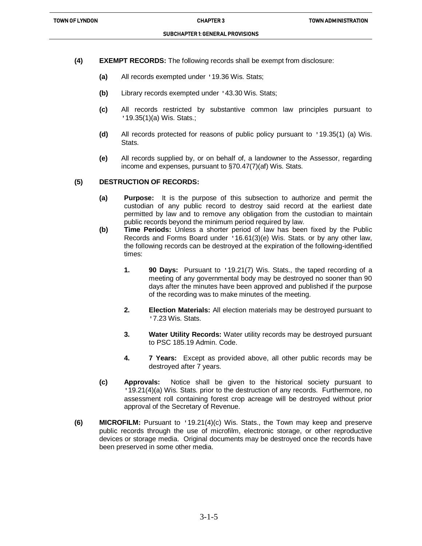- **(4) EXEMPT RECORDS:** The following records shall be exempt from disclosure:
	- **(a)** All records exempted under '19.36 Wis. Stats;

ֺ֝

- **(b)** Library records exempted under '43.30 Wis. Stats;
- **(c)** All records restricted by substantive common law principles pursuant to '19.35(1)(a) Wis. Stats.;
- **(d)** All records protected for reasons of public policy pursuant to '19.35(1) (a) Wis. **Stats**.
- **(e)** All records supplied by, or on behalf of, a landowner to the Assessor, regarding income and expenses, pursuant to §70.47(7)(af) Wis. Stats.

#### **(5) DESTRUCTION OF RECORDS:**

- **(a) Purpose:** It is the purpose of this subsection to authorize and permit the custodian of any public record to destroy said record at the earliest date permitted by law and to remove any obligation from the custodian to maintain public records beyond the minimum period required by law.
- **(b) Time Periods:** Unless a shorter period of law has been fixed by the Public Records and Forms Board under '16.61(3)(e) Wis. Stats. or by any other law, the following records can be destroyed at the expiration of the following-identified times:
	- **1. 90 Days:** Pursuant to '19.21(7) Wis. Stats., the taped recording of a meeting of any governmental body may be destroyed no sooner than 90 days after the minutes have been approved and published if the purpose of the recording was to make minutes of the meeting.
	- **2. Election Materials:** All election materials may be destroyed pursuant to '7.23 Wis. Stats.
	- **3. Water Utility Records:** Water utility records may be destroyed pursuant to PSC 185.19 Admin. Code.
	- **4. 7 Years:** Except as provided above, all other public records may be destroyed after 7 years.
- **(c) Approvals:** Notice shall be given to the historical society pursuant to '19.21(4)(a) Wis. Stats. prior to the destruction of any records. Furthermore, no assessment roll containing forest crop acreage will be destroyed without prior approval of the Secretary of Revenue.
- **(6) MICROFILM:** Pursuant to '19.21(4)(c) Wis. Stats., the Town may keep and preserve public records through the use of microfilm, electronic storage, or other reproductive devices or storage media. Original documents may be destroyed once the records have been preserved in some other media.